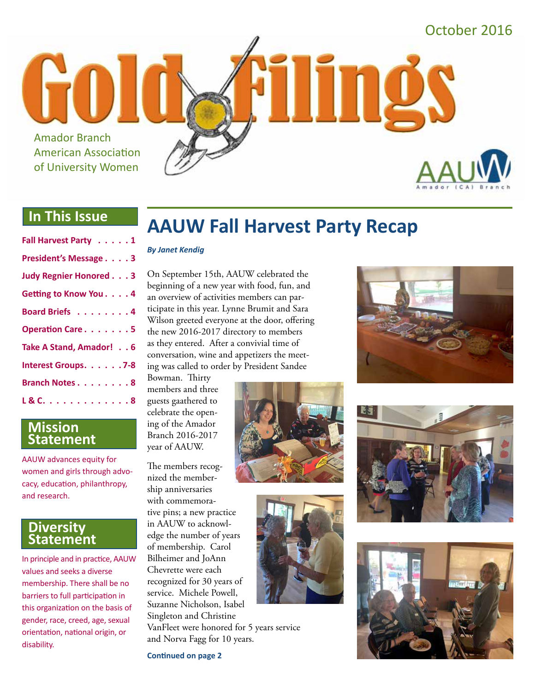

#### **In This Issue**

| Fall Harvest Party 1          |
|-------------------------------|
| President's Message 3         |
| <b>Judy Regnier Honored 3</b> |
| Getting to Know You. 4        |
| Board Briefs 4                |
| Operation Care5               |
| Take A Stand, Amador! 6       |
| Interest Groups. 7-8          |
| <b>Branch Notes 8</b>         |
| L & C. 8                      |

#### **Mission Statement**

AAUW advances equity for women and girls through advocacy, education, philanthropy, and research.

#### **Diversity Statement**

In principle and in practice, AAUW values and seeks a diverse membership. There shall be no barriers to full participation in this organization on the basis of gender, race, creed, age, sexual orientation, national origin, or disability.

# **AAUW Fall Harvest Party Recap**

#### *By Janet Kendig*

On September 15th, AAUW celebrated the beginning of a new year with food, fun, and an overview of activities members can participate in this year. Lynne Brumit and Sara Wilson greeted everyone at the door, offering the new 2016-2017 directory to members as they entered. After a convivial time of conversation, wine and appetizers the meeting was called to order by President Sandee

Bowman. Thirty members and three guests gaathered to celebrate the opening of the Amador Branch 2016-2017 year of AAUW.

The members recognized the membership anniversaries with commemorative pins; a new practice in AAUW to acknowledge the number of years of membership. Carol Bilheimer and JoAnn Chevrette were each recognized for 30 years of service. Michele Powell, Suzanne Nicholson, Isabel Singleton and Christine VanFleet were honored for 5 years service and Norva Fagg for 10 years.

**Continued on page 2**











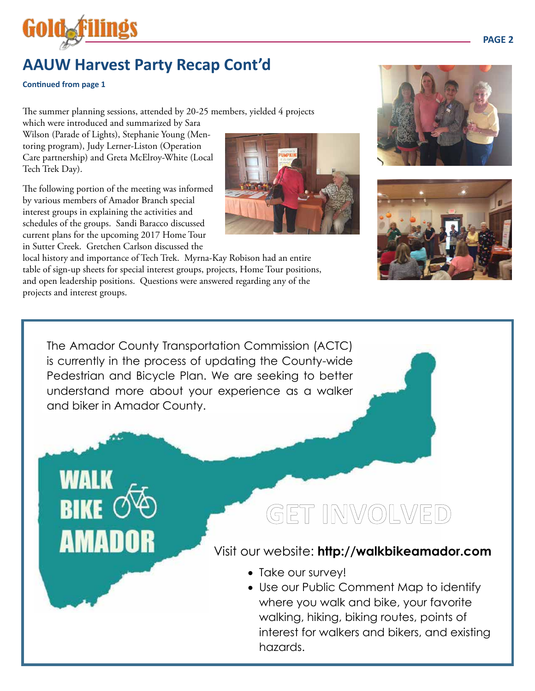

### **AAUW Harvest Party Recap Cont'd**

#### **Continued from page 1**

The summer planning sessions, attended by 20-25 members, yielded 4 projects

which were introduced and summarized by Sara Wilson (Parade of Lights), Stephanie Young (Mentoring program), Judy Lerner-Liston (Operation Care partnership) and Greta McElroy-White (Local Tech Trek Day).

The following portion of the meeting was informed by various members of Amador Branch special interest groups in explaining the activities and schedules of the groups. Sandi Baracco discussed current plans for the upcoming 2017 Home Tour in Sutter Creek. Gretchen Carlson discussed the

AMADOR

local history and importance of Tech Trek. Myrna-Kay Robison had an entire table of sign-up sheets for special interest groups, projects, Home Tour positions, and open leadership positions. Questions were answered regarding any of the projects and interest groups.



The Amador County Transportation Commission (ACTC) is currently in the process of updating the County-wide Pedestrian and Bicycle Plan. We are seeking to better understand more about your experience as a walker and biker in Amador County.

GET INVOLVED

#### Visit our website: **http://walkbikeamador.com**

- Take our survey!
- Use our Public Comment Map to identify where you walk and bike, your favorite walking, hiking, biking routes, points of interest for walkers and bikers, and existing hazards.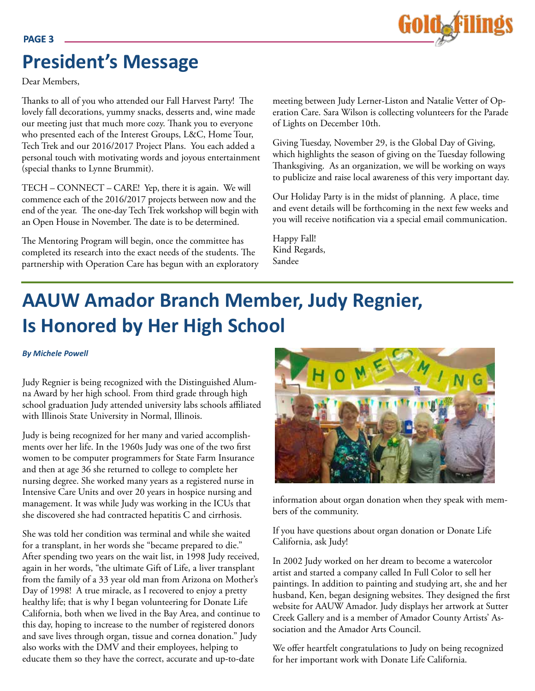### **President's Message**

Dear Members,

Thanks to all of you who attended our Fall Harvest Party! The lovely fall decorations, yummy snacks, desserts and, wine made our meeting just that much more cozy. Thank you to everyone who presented each of the Interest Groups, L&C, Home Tour, Tech Trek and our 2016/2017 Project Plans. You each added a personal touch with motivating words and joyous entertainment (special thanks to Lynne Brummit).

TECH – CONNECT – CARE! Yep, there it is again. We will commence each of the 2016/2017 projects between now and the end of the year. The one-day Tech Trek workshop will begin with an Open House in November. The date is to be determined.

The Mentoring Program will begin, once the committee has completed its research into the exact needs of the students. The partnership with Operation Care has begun with an exploratory meeting between Judy Lerner-Liston and Natalie Vetter of Operation Care. Sara Wilson is collecting volunteers for the Parade of Lights on December 10th.

Giving Tuesday, November 29, is the Global Day of Giving, which highlights the season of giving on the Tuesday following Thanksgiving. As an organization, we will be working on ways to publicize and raise local awareness of this very important day.

Our Holiday Party is in the midst of planning. A place, time and event details will be forthcoming in the next few weeks and you will receive notification via a special email communication.

Happy Fall! Kind Regards, Sandee

# **AAUW Amador Branch Member, Judy Regnier, Is Honored by Her High School**

*By Michele Powell*

Judy Regnier is being recognized with the Distinguished Alumna Award by her high school. From third grade through high school graduation Judy attended university labs schools affiliated with Illinois State University in Normal, Illinois.

Judy is being recognized for her many and varied accomplishments over her life. In the 1960s Judy was one of the two first women to be computer programmers for State Farm Insurance and then at age 36 she returned to college to complete her nursing degree. She worked many years as a registered nurse in Intensive Care Units and over 20 years in hospice nursing and management. It was while Judy was working in the ICUs that she discovered she had contracted hepatitis C and cirrhosis.

She was told her condition was terminal and while she waited for a transplant, in her words she "became prepared to die." After spending two years on the wait list, in 1998 Judy received, again in her words, "the ultimate Gift of Life, a liver transplant from the family of a 33 year old man from Arizona on Mother's Day of 1998! A true miracle, as I recovered to enjoy a pretty healthy life; that is why I began volunteering for Donate Life California, both when we lived in the Bay Area, and continue to this day, hoping to increase to the number of registered donors and save lives through organ, tissue and cornea donation." Judy also works with the DMV and their employees, helping to educate them so they have the correct, accurate and up-to-date



information about organ donation when they speak with members of the community.

If you have questions about organ donation or Donate Life California, ask Judy!

In 2002 Judy worked on her dream to become a watercolor artist and started a company called In Full Color to sell her paintings. In addition to painting and studying art, she and her husband, Ken, began designing websites. They designed the first website for AAUW Amador. Judy displays her artwork at Sutter Creek Gallery and is a member of Amador County Artists' Association and the Amador Arts Council.

We offer heartfelt congratulations to Judy on being recognized for her important work with Donate Life California.

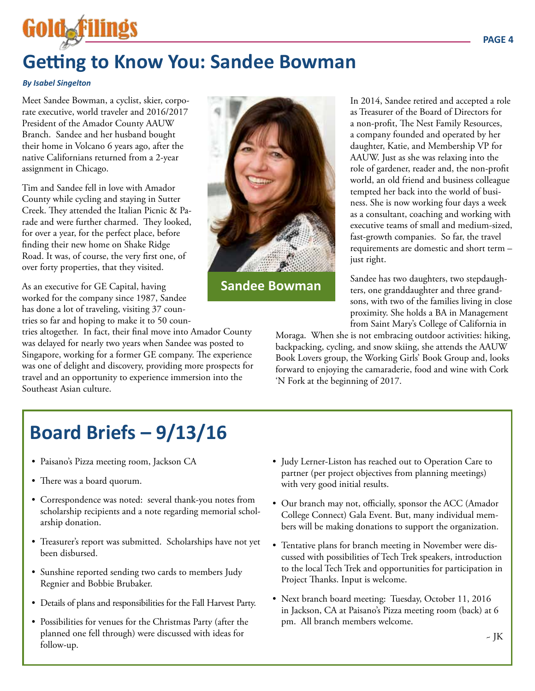# **Getting to Know You: Sandee Bowman**

#### *By Isabel Singelton*

Goldaf

Meet Sandee Bowman, a cyclist, skier, corporate executive, world traveler and 2016/2017 President of the Amador County AAUW Branch. Sandee and her husband bought their home in Volcano 6 years ago, after the native Californians returned from a 2-year assignment in Chicago.

Tim and Sandee fell in love with Amador County while cycling and staying in Sutter Creek. They attended the Italian Picnic & Parade and were further charmed. They looked, for over a year, for the perfect place, before finding their new home on Shake Ridge Road. It was, of course, the very first one, of over forty properties, that they visited.

As an executive for GE Capital, having worked for the company since 1987, Sandee has done a lot of traveling, visiting 37 countries so far and hoping to make it to 50 coun-

tries altogether. In fact, their final move into Amador County was delayed for nearly two years when Sandee was posted to Singapore, working for a former GE company. The experience was one of delight and discovery, providing more prospects for travel and an opportunity to experience immersion into the Southeast Asian culture.



**Sandee Bowman**

In 2014, Sandee retired and accepted a role as Treasurer of the Board of Directors for a non-profit, The Nest Family Resources, a company founded and operated by her daughter, Katie, and Membership VP for AAUW. Just as she was relaxing into the role of gardener, reader and, the non-profit world, an old friend and business colleague tempted her back into the world of business. She is now working four days a week as a consultant, coaching and working with executive teams of small and medium-sized, fast-growth companies. So far, the travel requirements are domestic and short term – just right.

Sandee has two daughters, two stepdaughters, one granddaughter and three grandsons, with two of the families living in close proximity. She holds a BA in Management from Saint Mary's College of California in

Moraga. When she is not embracing outdoor activities: hiking, backpacking, cycling, and snow skiing, she attends the AAUW Book Lovers group, the Working Girls' Book Group and, looks forward to enjoying the camaraderie, food and wine with Cork 'N Fork at the beginning of 2017.

# **Board Briefs – 9/13/16**

- Paisano's Pizza meeting room, Jackson CA
- There was a board quorum.
- Correspondence was noted: several thank-you notes from scholarship recipients and a note regarding memorial scholarship donation.
- Treasurer's report was submitted. Scholarships have not yet been disbursed.
- Sunshine reported sending two cards to members Judy Regnier and Bobbie Brubaker.
- Details of plans and responsibilities for the Fall Harvest Party.
- Possibilities for venues for the Christmas Party (after the planned one fell through) were discussed with ideas for follow-up.
- Judy Lerner-Liston has reached out to Operation Care to partner (per project objectives from planning meetings) with very good initial results.
- Our branch may not, officially, sponsor the ACC (Amador College Connect) Gala Event. But, many individual members will be making donations to support the organization.
- Tentative plans for branch meeting in November were discussed with possibilities of Tech Trek speakers, introduction to the local Tech Trek and opportunities for participation in Project Thanks. Input is welcome.
- Next branch board meeting: Tuesday, October 11, 2016 in Jackson, CA at Paisano's Pizza meeting room (back) at 6 pm. All branch members welcome.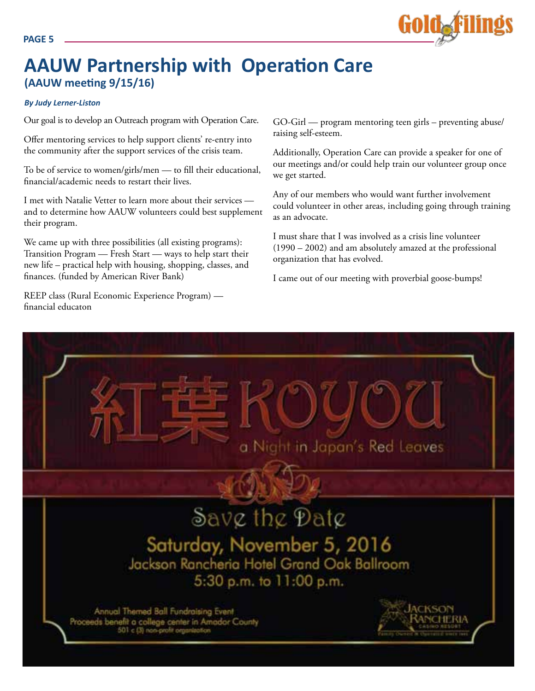

### **AAUW Partnership with Operation Care (AAUW meeting 9/15/16)**

#### *By Judy Lerner-Liston*

Our goal is to develop an Outreach program with Operation Care.

Offer mentoring services to help support clients' re-entry into the community after the support services of the crisis team.

To be of service to women/girls/men — to fill their educational, financial/academic needs to restart their lives.

I met with Natalie Vetter to learn more about their services and to determine how AAUW volunteers could best supplement their program.

We came up with three possibilities (all existing programs): Transition Program — Fresh Start — ways to help start their new life – practical help with housing, shopping, classes, and finances. (funded by American River Bank)

REEP class (Rural Economic Experience Program) financial educaton

GO-Girl — program mentoring teen girls – preventing abuse/ raising self-esteem.

Additionally, Operation Care can provide a speaker for one of our meetings and/or could help train our volunteer group once we get started.

Any of our members who would want further involvement could volunteer in other areas, including going through training as an advocate.

I must share that I was involved as a crisis line volunteer (1990 – 2002) and am absolutely amazed at the professional organization that has evolved.

I came out of our meeting with proverbial goose-bumps!

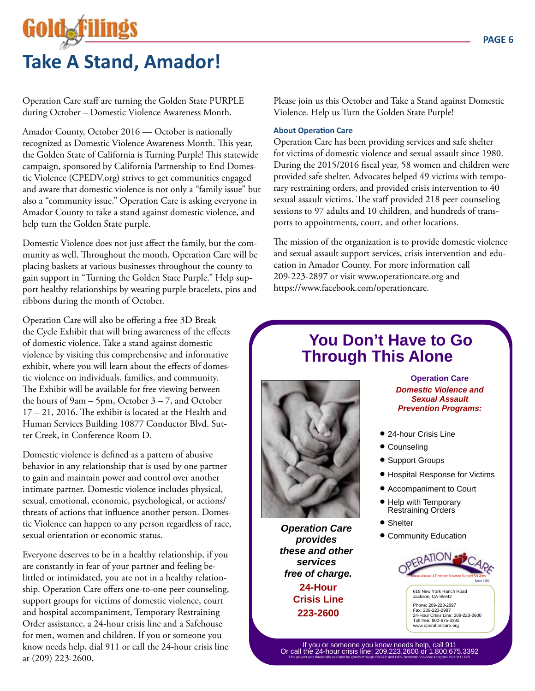# Gold&F **Take A Stand, Amador!**

Operation Care staff are turning the Golden State PURPLE during October – Domestic Violence Awareness Month.

Amador County, October 2016 — October is nationally recognized as Domestic Violence Awareness Month. This year, the Golden State of California is Turning Purple! This statewide campaign, sponsored by California Partnership to End Domestic Violence (CPEDV.org) strives to get communities engaged and aware that domestic violence is not only a "family issue" but also a "community issue." Operation Care is asking everyone in Amador County to take a stand against domestic violence, and help turn the Golden State purple.

Domestic Violence does not just affect the family, but the community as well. Throughout the month, Operation Care will be placing baskets at various businesses throughout the county to gain support in "Turning the Golden State Purple." Help support healthy relationships by wearing purple bracelets, pins and ribbons during the month of October.

Operation Care will also be offering a free 3D Break the Cycle Exhibit that will bring awareness of the effects of domestic violence. Take a stand against domestic violence by visiting this comprehensive and informative exhibit, where you will learn about the effects of domestic violence on individuals, families, and community. The Exhibit will be available for free viewing between the hours of  $9am - 5pm$ , October  $3 - 7$ , and October 17 – 21, 2016. The exhibit is located at the Health and Human Services Building 10877 Conductor Blvd. Sutter Creek, in Conference Room D.

Domestic violence is defined as a pattern of abusive behavior in any relationship that is used by one partner to gain and maintain power and control over another intimate partner. Domestic violence includes physical, sexual, emotional, economic, psychological, or actions/ threats of actions that influence another person. Domestic Violence can happen to any person regardless of race, sexual orientation or economic status.

Everyone deserves to be in a healthy relationship, if you are constantly in fear of your partner and feeling belittled or intimidated, you are not in a healthy relationship. Operation Care offers one-to-one peer counseling, support groups for victims of domestic violence, court and hospital accompaniment, Temporary Restraining Order assistance, a 24-hour crisis line and a Safehouse for men, women and children. If you or someone you know needs help, dial 911 or call the 24-hour crisis line at (209) 223-2600.

Please join us this October and Take a Stand against Domestic Violence. Help us Turn the Golden State Purple!

#### **About Operation Care**

Operation Care has been providing services and safe shelter for victims of domestic violence and sexual assault since 1980. During the 2015/2016 fiscal year, 58 women and children were provided safe shelter. Advocates helped 49 victims with temporary restraining orders, and provided crisis intervention to 40 sexual assault victims. The staff provided 218 peer counseling sessions to 97 adults and 10 children, and hundreds of transports to appointments, court, and other locations.

The mission of the organization is to provide domestic violence and sexual assault support services, crisis intervention and education in Amador County. For more information call 209-223-2897 or visit www.operationcare.org and https://www.facebook.com/operationcare.

### **You Don't Have to Go Through This Alone**



**Operation Care provides these and other services free of charge. 24-Hour Crisis Line 223-2600**

**Operation Care Domestic Violence and Sexual Assault Prevention Programs:**

- 24-hour Crisis Line
- Counseling
- Support Groups
- Hospital Response for Victims
- Accompaniment to Court
- Help with Temporary Restraining Orders
- Shelter
- Community Education



619 New York Ranch Road Jackson, CA 95642 Phone: 209-223-2897 Fax: 209-223-2987 24-Hour Crisis Line: 209-223-2600 Toll free: 800-675-3392 www.operationcare.org

If you or someone you know needs help, call 911 Or call the 24-hour crisis line: 209.223.2600 or 1.800.675.3392 This project was financially assisted by grants through CBCAP and OES Domestic Violence Program DV10111628.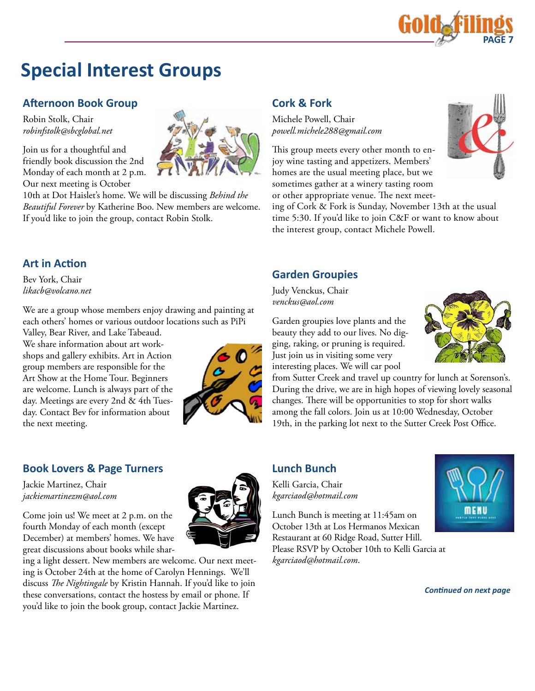

### **Special Interest Groups**

#### **Afternoon Book Group**

Robin Stolk, Chair *robinfstolk@sbcglobal.net*

Join us for a thoughtful and friendly book discussion the 2nd Monday of each month at 2 p.m. Our next meeting is October

10th at Dot Haislet's home. We will be discussing *Behind the Beautiful Forever* by Katherine Boo. New members are welcome. If you'd like to join the group, contact Robin Stolk.

#### **Art in Action**

Bev York, Chair *likacb@volcano.net*

We are a group whose members enjoy drawing and painting at each others' homes or various outdoor locations such as PiPi

Valley, Bear River, and Lake Tabeaud. We share information about art workshops and gallery exhibits. Art in Action group members are responsible for the Art Show at the Home Tour. Beginners are welcome. Lunch is always part of the day. Meetings are every 2nd & 4th Tuesday. Contact Bev for information about the next meeting.



#### **Book Lovers & Page Turners**

Jackie Martinez, Chair *jackiemartinezm@aol.com*

Come join us! We meet at 2 p.m. on the fourth Monday of each month (except December) at members' homes. We have great discussions about books while shar-

ing a light dessert. New members are welcome. Our next meeting is October 24th at the home of Carolyn Hennings. We'll discuss *The Nightingale* by Kristin Hannah. If you'd like to join these conversations, contact the hostess by email or phone. If you'd like to join the book group, contact Jackie Martinez.

#### **Cork & Fork**

Michele Powell, Chair *powell.michele288@gmail.com*

This group meets every other month to enjoy wine tasting and appetizers. Members' homes are the usual meeting place, but we sometimes gather at a winery tasting room or other appropriate venue. The next meet-

ing of Cork & Fork is Sunday, November 13th at the usual time 5:30. If you'd like to join C&F or want to know about the interest group, contact Michele Powell.

#### **Garden Groupies**

Judy Venckus, Chair *venckus@aol.com*

Garden groupies love plants and the beauty they add to our lives. No digging, raking, or pruning is required. Just join us in visiting some very interesting places. We will car pool

from Sutter Creek and travel up country for lunch at Sorenson's. During the drive, we are in high hopes of viewing lovely seasonal changes. There will be opportunities to stop for short walks among the fall colors. Join us at 10:00 Wednesday, October 19th, in the parking lot next to the Sutter Creek Post Office.

#### **Lunch Bunch**

Kelli Garcia, Chair *kgarciaod@hotmail.com* 

Lunch Bunch is meeting at 11:45am on October 13th at Los Hermanos Mexican Restaurant at 60 Ridge Road, Sutter Hill. Please RSVP by October 10th to Kelli Garcia at *kgarciaod@hotmail.com*.



*Continued on next page*